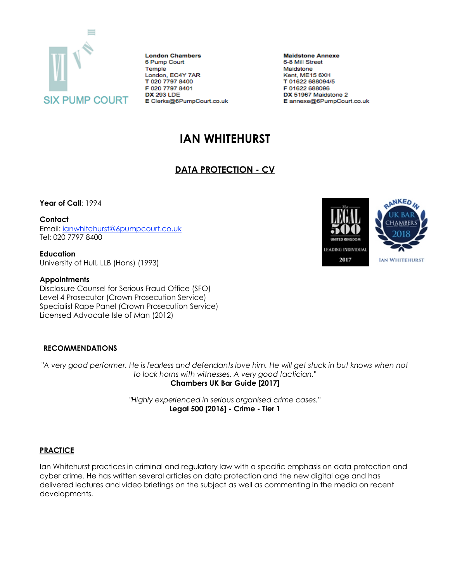

**London Chambers** 6 Pump Court Temple London, EC4Y 7AR T 020 7797 8400 F 020 7797 8401 **DX 293 LDE** E Clerks@6PumpCourt.co.uk

**Maidstone Annexe** 6-8 Mill Street Maidstone Kent, ME15 6XH T 01622 688094/5 F 01622 688096 DX 51967 Maidstone 2 E annexe@6PumpCourt.co.uk

# **IAN WHITEHURST**

# **DATA PROTECTION - CV**

**Year of Call**: 1994

**Contact**

Email: [ianwhitehurst@6pumpcourt.co.uk](mailto:ianwhitehurst@6pumpcourt.co.uk) Tel: 020 7797 8400

**Education** University of Hull, LLB (Hons) (1993)

#### **Appointments**

Disclosure Counsel for Serious Fraud Office (SFO) Level 4 Prosecutor (Crown Prosecution Service) Specialist Rape Panel (Crown Prosecution Service) Licensed Advocate Isle of Man (2012)

## **RECOMMENDATIONS**

*"A very good performer. He is fearless and defendants love him. He will get stuck in but knows when not to lock horns with witnesses. A very good tactician."* **Chambers UK Bar Guide [2017]**

> *"Highly experienced in serious organised crime cases."* **Legal 500 [2016] - Crime - Tier 1**

## **PRACTICE**

Ian Whitehurst practices in criminal and regulatory law with a specific emphasis on data protection and cyber crime. He has written several articles on data protection and the new digital age and has delivered lectures and video briefings on the subject as well as commenting in the media on recent developments.